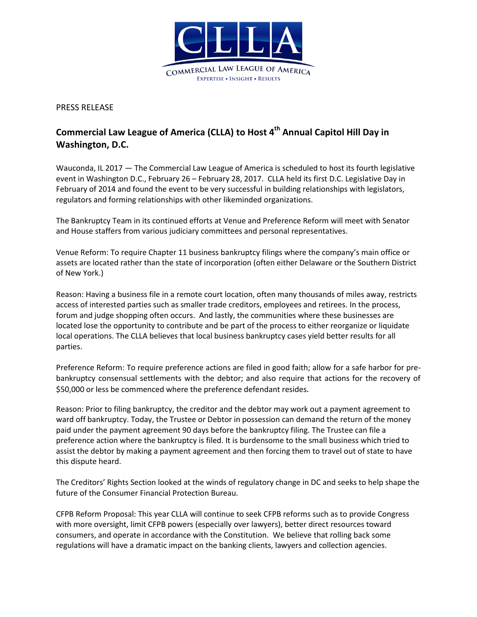

PRESS RELEASE

## **Commercial Law League of America (CLLA) to Host 4 th Annual Capitol Hill Day in Washington, D.C.**

Wauconda, IL 2017 — The Commercial Law League of America is scheduled to host its fourth legislative event in Washington D.C., February 26 – February 28, 2017. CLLA held its first D.C. Legislative Day in February of 2014 and found the event to be very successful in building relationships with legislators, regulators and forming relationships with other likeminded organizations.

The Bankruptcy Team in its continued efforts at Venue and Preference Reform will meet with Senator and House staffers from various judiciary committees and personal representatives.

Venue Reform: To require Chapter 11 business bankruptcy filings where the company's main office or assets are located rather than the state of incorporation (often either Delaware or the Southern District of New York.)

Reason: Having a business file in a remote court location, often many thousands of miles away, restricts access of interested parties such as smaller trade creditors, employees and retirees. In the process, forum and judge shopping often occurs. And lastly, the communities where these businesses are located lose the opportunity to contribute and be part of the process to either reorganize or liquidate local operations. The CLLA believes that local business bankruptcy cases yield better results for all parties.

Preference Reform: To require preference actions are filed in good faith; allow for a safe harbor for prebankruptcy consensual settlements with the debtor; and also require that actions for the recovery of \$50,000 or less be commenced where the preference defendant resides.

Reason: Prior to filing bankruptcy, the creditor and the debtor may work out a payment agreement to ward off bankruptcy. Today, the Trustee or Debtor in possession can demand the return of the money paid under the payment agreement 90 days before the bankruptcy filing. The Trustee can file a preference action where the bankruptcy is filed. It is burdensome to the small business which tried to assist the debtor by making a payment agreement and then forcing them to travel out of state to have this dispute heard.

The Creditors' Rights Section looked at the winds of regulatory change in DC and seeks to help shape the future of the Consumer Financial Protection Bureau.

CFPB Reform Proposal: This year CLLA will continue to seek CFPB reforms such as to provide Congress with more oversight, limit CFPB powers (especially over lawyers), better direct resources toward consumers, and operate in accordance with the Constitution. We believe that rolling back some regulations will have a dramatic impact on the banking clients, lawyers and collection agencies.